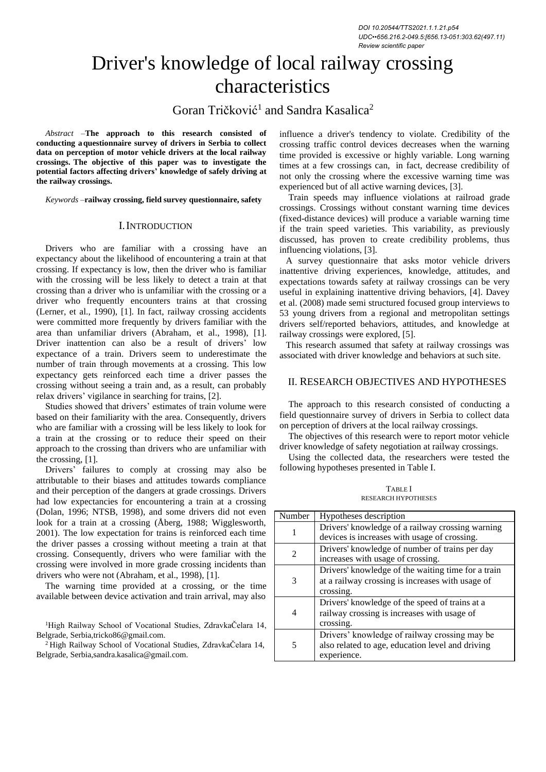# Driver's knowledge of local railway crossing characteristics

Goran Tričković<sup>1</sup> and Sandra Kasalica<sup>2</sup>

*Abstract –***The approach to this research consisted of conducting aquestionnaire survey of drivers in Serbia to collect data on perception of motor vehicle drivers at the local railway crossings. The objective of this paper was to investigate the potential factors affecting drivers' knowledge of safely driving at the railway crossings.**

*Keywords –***railway crossing, field survey questionnaire, safety**

#### I.INTRODUCTION

Drivers who are familiar with a crossing have an expectancy about the likelihood of encountering a train at that crossing. If expectancy is low, then the driver who is familiar with the crossing will be less likely to detect a train at that crossing than a driver who is unfamiliar with the crossing or a driver who frequently encounters trains at that crossing (Lerner, et al., 1990), [1]. In fact, railway crossing accidents were committed more frequently by drivers familiar with the area than unfamiliar drivers (Abraham, et al., 1998), [1]. Driver inattention can also be a result of drivers' low expectance of a train. Drivers seem to underestimate the number of train through movements at a crossing. This low expectancy gets reinforced each time a driver passes the crossing without seeing a train and, as a result, can probably relax drivers' vigilance in searching for trains, [2].

Studies showed that drivers' estimates of train volume were based on their familiarity with the area. Consequently, drivers who are familiar with a crossing will be less likely to look for a train at the crossing or to reduce their speed on their approach to the crossing than drivers who are unfamiliar with the crossing, [1].

Drivers' failures to comply at crossing may also be attributable to their biases and attitudes towards compliance and their perception of the dangers at grade crossings. Drivers had low expectancies for encountering a train at a crossing (Dolan, 1996; NTSB, 1998), and some drivers did not even look for a train at a crossing (Åberg, 1988; Wigglesworth, 2001). The low expectation for trains is reinforced each time the driver passes a crossing without meeting a train at that crossing. Consequently, drivers who were familiar with the crossing were involved in more grade crossing incidents than drivers who were not (Abraham, et al., 1998), [1].

The warning time provided at a crossing, or the time available between device activation and train arrival, may also

<sup>1</sup>High Railway School of Vocational Studies, ZdravkaČelara 14, Belgrade, Serbi[a,tricko86@gmail.com.](mailto:tricko86@gmail.com)

<sup>2</sup> High Railway School of Vocational Studies, ZdravkaČelara 14, Belgrade, [Serbia,sandra.kasalica@gmail.com.](mailto:Serbia%2Csandra.kasalica@gmail.com)

influence a driver's tendency to violate. Credibility of the crossing traffic control devices decreases when the warning time provided is excessive or highly variable. Long warning times at a few crossings can, in fact, decrease credibility of not only the crossing where the excessive warning time was experienced but of all active warning devices, [3].

Train speeds may influence violations at railroad grade crossings. Crossings without constant warning time devices (fixed-distance devices) will produce a variable warning time if the train speed varieties. This variability, as previously discussed, has proven to create credibility problems, thus influencing violations, [3].

A survey questionnaire that asks motor vehicle drivers inattentive driving experiences, knowledge, attitudes, and expectations towards safety at railway crossings can be very useful in explaining inattentive driving behaviors, [4]. Davey et al. (2008) made semi structured focused group interviews to 53 young drivers from a regional and metropolitan settings drivers self/reported behaviors, attitudes, and knowledge at railway crossings were explored, [5].

This research assumed that safety at railway crossings was associated with driver knowledge and behaviors at such site.

## II. RESEARCH OBJECTIVES AND HYPOTHESES

The approach to this research consisted of conducting a field questionnaire survey of drivers in Serbia to collect data on perception of drivers at the local railway crossings.

The objectives of this research were to report motor vehicle driver knowledge of safety negotiation at railway crossings.

Using the collected data, the researchers were tested the following hypotheses presented in Table I.

|                             | <b>RESEARCH HYPOTHESES</b>                                                             |
|-----------------------------|----------------------------------------------------------------------------------------|
| Number                      | Hypotheses description                                                                 |
|                             | Drivers' knowledge of a railway crossing<br>devices is increases with usage of crossin |
| $\mathcal{D}_{\mathcal{L}}$ | Drivers' knowledge of number of trains p<br>increases with usage of crossing.          |

TABLE I

|   | Drivers' knowledge of a railway crossing warning   |
|---|----------------------------------------------------|
|   | devices is increases with usage of crossing.       |
| 2 | Drivers' knowledge of number of trains per day     |
|   | increases with usage of crossing.                  |
|   | Drivers' knowledge of the waiting time for a train |
| 3 | at a railway crossing is increases with usage of   |
|   | crossing.                                          |
|   | Drivers' knowledge of the speed of trains at a     |
| 4 | railway crossing is increases with usage of        |
|   | crossing.                                          |
| 5 | Drivers' knowledge of railway crossing may be      |
|   | also related to age, education level and driving   |
|   | experience.                                        |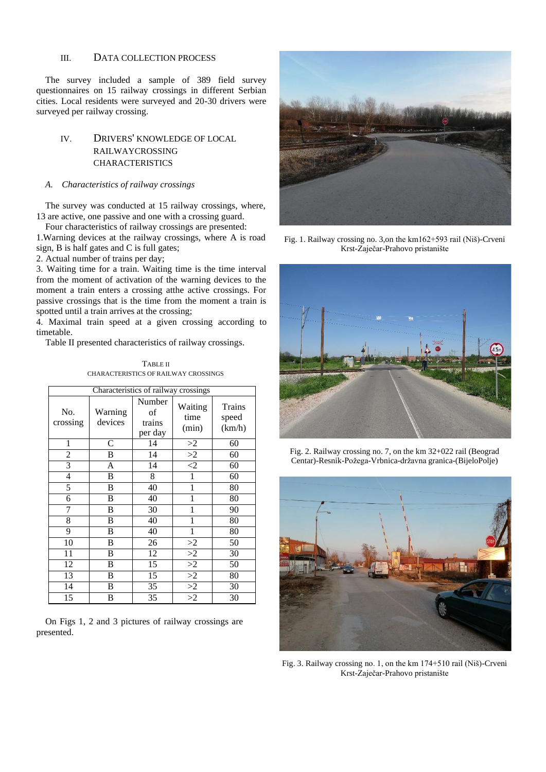## III. DATA COLLECTION PROCESS

The survey included a sample of 389 field survey questionnaires on 15 railway crossings in different Serbian cities. Local residents were surveyed and 20-30 drivers were surveyed per railway crossing.

# IV. DRIVERS' KNOWLEDGE OF LOCAL RAILWAYCROSSING CHARACTERISTICS

## *A. Characteristics of railway crossings*

The survey was conducted at 15 railway crossings, where, 13 are active, one passive and one with a crossing guard.

Four characteristics of railway crossings are presented: 1.Warning devices at the railway crossings, where A is road sign, B is half gates and C is full gates;

2. Actual number of trains per day;

3. Waiting time for a train. Waiting time is the time interval from the moment of activation of the warning devices to the moment a train enters a crossing atthe active crossings. For passive crossings that is the time from the moment a train is spotted until a train arrives at the crossing;

4. Maximal train speed at a given crossing according to timetable.

Table II presented characteristics of railway crossings.

**TABLE II** CHARACTERISTICS OF RAILWAY CROSSINGS

| Characteristics of railway crossings |                    |                                   |                          |                           |
|--------------------------------------|--------------------|-----------------------------------|--------------------------|---------------------------|
| No.<br>crossing                      | Warning<br>devices | Number<br>of<br>trains<br>per day | Waiting<br>time<br>(min) | Trains<br>speed<br>(km/h) |
| 1                                    | $\mathcal{C}$      | 14                                | >2                       | 60                        |
| $\overline{c}$                       | B                  | 14                                | $\overline{2}$           | 60                        |
| $\overline{3}$                       | A                  | 14                                | $\overline{2}$           | 60                        |
| 4                                    | B                  | 8                                 | 1                        | 60                        |
| 5                                    | B                  | 40                                | 1                        | 80                        |
| 6                                    | B                  | 40                                | 1                        | 80                        |
| 7                                    | B                  | 30                                | 1                        | 90                        |
| 8                                    | B                  | 40                                | 1                        | 80                        |
| 9                                    | B                  | 40                                | 1                        | 80                        |
| 10                                   | B                  | 26                                | >2                       | 50                        |
| 11                                   | B                  | 12                                | >2                       | 30                        |
| 12                                   | B                  | 15                                | $\overline{2}$           | 50                        |
| 13                                   | B                  | 15                                | $\overline{2}$           | 80                        |
| 14                                   | B                  | 35                                | $\overline{2}$           | 30                        |
| 15                                   | B                  | 35                                | $\overline{>2}$          | 30                        |

On Figs 1, 2 and 3 pictures of railway crossings are presented.



Fig. 1. Railway crossing no. 3,on the km162+593 rail (Niš)-Crveni Krst-Zaječar-Prahovo pristanište



Fig. 2. Railway crossing no. 7, on the km 32+022 rail (Beograd Centar)-Resnik-Požega-Vrbnica-državna granica-(BijeloPolje)



Fig. 3. Railway crossing no. 1, on the km 174+510 rail (Niš)-Crveni Krst-Zaječar-Prahovo pristanište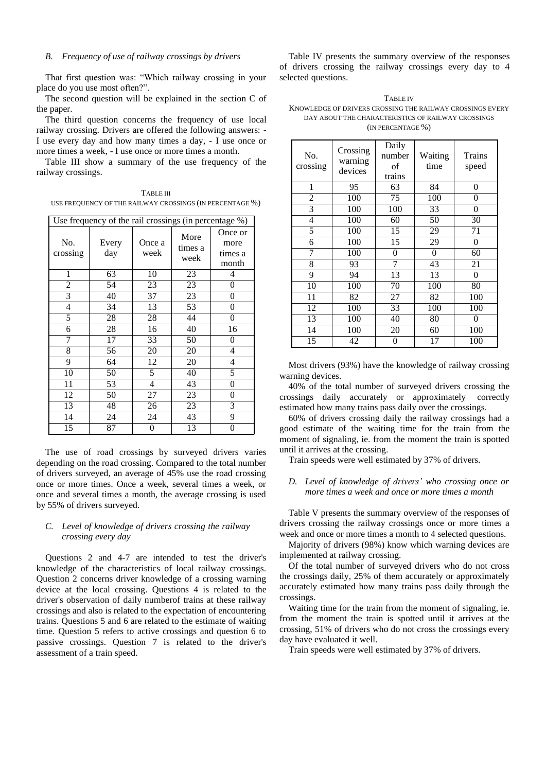#### *B. Frequency of use of railway crossings by drivers*

That first question was: "Which railway crossing in your place do you use most often?".

The second question will be explained in the section C of the paper.

The third question concerns the frequency of use local railway crossing. Drivers are offered the following answers: - I use every day and how many times a day, - I use once or more times a week, - I use once or more times a month.

Table III show a summary of the use frequency of the railway crossings.

TABLE III USE FREQUENCY OF THE RAILWAY CROSSINGS (IN PERCENTAGE %)

| Use frequency of the rail crossings (in percentage %) |              |                |                         |                                     |
|-------------------------------------------------------|--------------|----------------|-------------------------|-------------------------------------|
| No.<br>crossing                                       | Every<br>day | Once a<br>week | More<br>times a<br>week | Once or<br>more<br>times a<br>month |
| $\mathbf{1}$                                          | 63           | 10             | 23                      | 4                                   |
| $\mathfrak{2}$                                        | 54           | 23             | 23                      | $\overline{0}$                      |
| $\overline{3}$                                        | 40           | 37             | 23                      | $\overline{0}$                      |
| $\overline{4}$                                        | 34           | 13             | 53                      | $\overline{0}$                      |
| 5                                                     | 28           | 28             | 44                      | 0                                   |
| 6                                                     | 28           | 16             | 40                      | 16                                  |
| 7                                                     | 17           | 33             | 50                      | 0                                   |
| 8                                                     | 56           | 20             | 20                      | 4                                   |
| 9                                                     | 64           | 12             | 20                      | 4                                   |
| 10                                                    | 50           | 5              | 40                      | 5                                   |
| 11                                                    | 53           | 4              | 43                      | $\overline{0}$                      |
| 12                                                    | 50           | 27             | 23                      | 0                                   |
| 13                                                    | 48           | 26             | 23                      | 3                                   |
| 14                                                    | 24           | 24             | 43                      | 9                                   |
| 15                                                    | 87           | 0              | 13                      | 0                                   |

The use of road crossings by surveyed drivers varies depending on the road crossing. Compared to the total number of drivers surveyed, an average of 45% use the road crossing once or more times. Once a week, several times a week, or once and several times a month, the average crossing is used by 55% of drivers surveyed.

## *C. Level of knowledge of drivers crossing the railway crossing every day*

Questions 2 and 4-7 are intended to test the driver's knowledge of the characteristics of local railway crossings. Question 2 concerns driver knowledge of a crossing warning device at the local crossing. Questions 4 is related to the driver's observation of daily numberof trains at these railway crossings and also is related to the expectation of encountering trains. Questions 5 and 6 are related to the estimate of waiting time. Question 5 refers to active crossings and question 6 to passive crossings. Question 7 is related to the driver's assessment of a train speed.

Table IV presents the summary overview of the responses of drivers crossing the railway crossings every day to 4 selected questions.

| <b>TABLE IV</b>                                           |
|-----------------------------------------------------------|
| KNOWLEDGE OF DRIVERS CROSSING THE RAILWAY CROSSINGS EVERY |
| DAY ABOUT THE CHARACTERISTICS OF RAILWAY CROSSINGS        |
| (IN PERCENTAGE %)                                         |

| No.<br>crossing | Crossing<br>warning<br>devices | Daily<br>number<br>of<br>trains | Waiting<br>time | Trains<br>speed |
|-----------------|--------------------------------|---------------------------------|-----------------|-----------------|
| 1               | 95                             | 63                              | 84              | 0               |
| $\overline{2}$  | 100                            | $\overline{7}5$                 | 100             | 0               |
| 3               | 100                            | 100                             | 33              | 0               |
| 4               | 100                            | 60                              | 50              | 30              |
| 5               | 100                            | 15                              | 29              | 71              |
| 6               | 100                            | 15                              | 29              | 0               |
| 7               | 100                            | 0                               | $\theta$        | 60              |
| 8               | 93                             | 7                               | 43              | 21              |
| 9               | 94                             | 13                              | 13              | $\theta$        |
| 10              | 100                            | 70                              | 100             | 80              |
| 11              | 82                             | 27                              | 82              | 100             |
| 12              | 100                            | 33                              | 100             | 100             |
| 13              | 100                            | 40                              | 80              | $\theta$        |
| 14              | 100                            | 20                              | 60              | 100             |
| 15              | 42                             | 0                               | 17              | 100             |

Most drivers (93%) have the knowledge of railway crossing warning devices.

40% of the total number of surveyed drivers crossing the crossings daily accurately or approximately correctly estimated how many trains pass daily over the crossings.

60% of drivers crossing daily the railway crossings had a good estimate of the waiting time for the train from the moment of signaling, ie. from the moment the train is spotted until it arrives at the crossing.

Train speeds were well estimated by 37% of drivers.

## *D. Level of knowledge of drivers' who crossing once or more times a week and once or more times a month*

Table V presents the summary overview of the responses of drivers crossing the railway crossings once or more times a week and once or more times a month to 4 selected questions.

Majority of drivers (98%) know which warning devices are implemented at railway crossing.

Of the total number of surveyed drivers who do not cross the crossings daily, 25% of them accurately or approximately accurately estimated how many trains pass daily through the crossings.

Waiting time for the train from the moment of signaling, ie. from the moment the train is spotted until it arrives at the crossing, 51% of drivers who do not cross the crossings every day have evaluated it well.

Train speeds were well estimated by 37% of drivers.